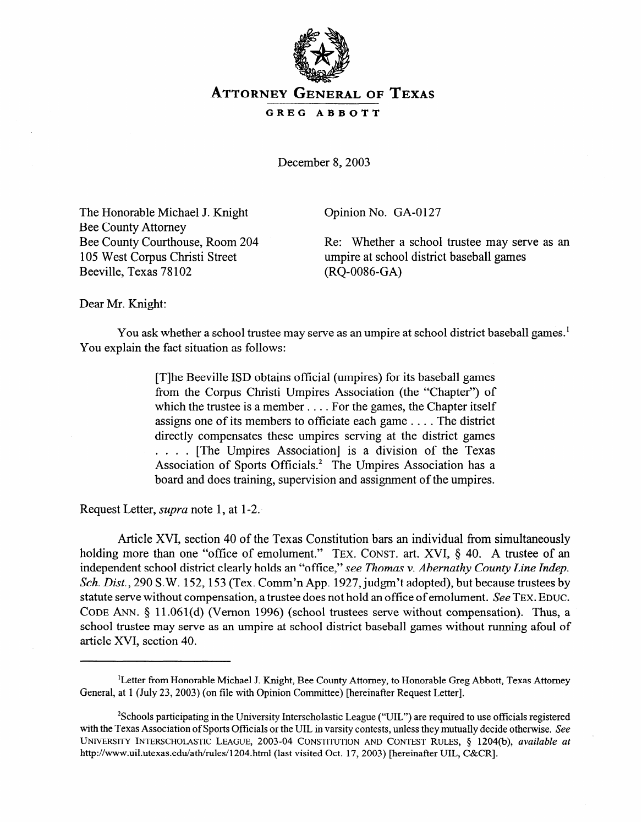

## **ATTORNEY GENERAL OF TEXAS**

## **GREG ABBOTT**

December 8, 2003

The Honorable Michael J. Knight Bee County Attorney Bee County Courthouse, Room 204 105 West Corpus Christi Street Beeville, Texas 78 102

Opinion No. GA-0127

Re: Whether a school trustee may serve as an umpire at school district baseball games (RQ-0086-GA)

Dear Mr. Knight:

You ask whether a school trustee may serve as an umpire at school district baseball games.<sup>1</sup> You explain the fact situation as follows:

> [T]he Beeville ISD obtains official (umpires) for its baseball games from the Corpus Christi Umpires Association (the "Chapter") of which the trustee is a member . . . . For the games, the Chapter itself assigns one of its members to officiate each game . . . . The district directly compensates these umpires serving at the district games . . . . [The Umpires Association] is a division of the Texas Association of Sports Officials.<sup>2</sup> The Umpires Association has a board and does training, supervision and assignment of the umpires.

Request Letter, *supra* note 1, at l-2.

Article XVI, section 40 of the Texas Constitution bars an individual from simultaneously holding more than one "office of emolument." TEX. CONST. art. XVI, § 40. A trustee of an independent school district clearly holds *an* "office," *see Thomas v. Abernathy County Line Indep. Sch. Dist.,* 290 S.W. 152,153 (Tex. Comm'n App. 1927, judgm't adopted), but because trustees by statute serve without compensation, a trustee does not hold an office of emolument. See TEX. EDUC. CODE ANN. 5 11.061(d) (Vernon 1996) (school trustees serve without compensation). Thus, a school trustee may serve as an umpire at school district baseball games without running afoul of article XVI, section 40.

<sup>&#</sup>x27;Letter from Honorable Michael J. Knight, Bee County Attorney, to Honorable Greg Abbott, Texas Attorney General, at 1 (July 23,2003) (on file with Opinion Committee) [hereinafter Request Letter].

<sup>2</sup>Schools participating in the University Interscholastic League ("UIL") are required to use officials registered with the Texas Association of Sports Officials or the UIL in varsity contests, unless they mutually decide otherwise. See **UNIVERSITY INTERSCHOLASTIC LEAGUE, 2003-04 CONSTITUTION AND CONTEST RULES,** *5* 1204(b), *available at*  http://www.uil.utexas.edu/ath/rules/1204.html (last visited Oct. 17, 2003) [hereinafter UIL, C&CR].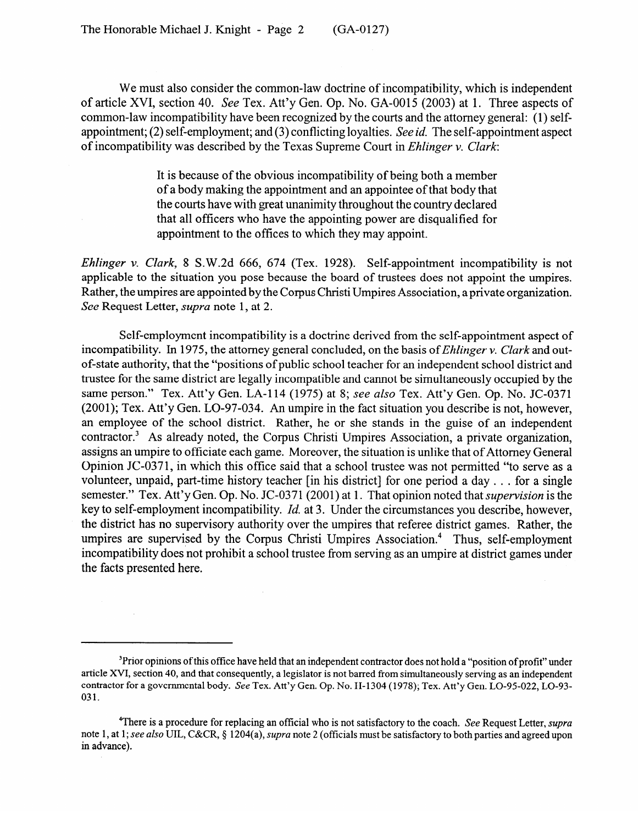We must also consider the common-law doctrine of incompatibility, which is independent of article XVI, section 40. See Tex. Att'y Gen. Op. No. GA-0015 (2003) at 1. Three aspects of common-law incompatibility have been recognized by the courts and the attorney general: (1) selfappointment; (2) self-employment; and (3) conflicting loyalties. See *id.* The self-appointment aspect of incompatibility was described by the Texas Supreme *Court* in *Ehlinger v. Clark:* 

> It is because of the obvious incompatibility of being both a member of a body making the appointment and an appointee of that body that the courts have with great unanimity throughout the country declared that all officers who have the appointing power are disqualified for appointment to the offices to which they may appoint.

*Ehlinger v. Clark,* 8 S.W.2d 666, 674 (Tex. 1928). Self-appointment incompatibility is not applicable to the situation you pose because the board of trustees does not appoint the umpires. Rather, the umpires are appointed by the Corpus Christi Umpires Association, a private organization. See Request Letter, *supra* note 1, at 2.

Self-employment incompatibility is a doctrine derived from the self-appointment aspect of incompatibility. In 1975, the attorney general concluded, on the basis of *Ehlinger v. Clark* and outof-state authority, that the "positions of public school teacher for an independent school district and trustee for the same district are legally incompatible and cannot be simultaneously occupied by the same person." Tex. Att'y Gen. LA-114 (1975) at 8; see also Tex. Att'y Gen. Op. No. JC-0371 (2001); Tex. Att'y Gen. LO-97-034. An umpire in the fact situation you describe is not, however, an employee of the school district. Rather, he or she stands in the guise of an independent contractor.<sup>3</sup> As already noted, the Corpus Christi Umpires Association, a private organization, assigns an umpire to officiate each game. Moreover, the situation is unlike that of Attorney General Opinion JC-0371, in which this office said that a school trustee was not permitted "to serve as a volunteer, unpaid, part-time history teacher [in his district] for one period a day . . . for a single semester." Tex. Att'y Gen. Op. No. JC-0371 (2001) at 1. That opinion noted that *supervision* is the key to self-employment incompatibility. *Id.* at 3. Under the circumstances you describe, however, the district has no supervisory authority over the umpires that referee district games. Rather, the umpires are supervised by the Corpus Christi Umpires Association.<sup>4</sup> Thus, self-employment incompatibility does not prohibit a school trustee from serving as an umpire at district games under the facts presented here. the facts presented here.

<sup>&</sup>lt;sup>3</sup>Prior opinions of this office have held that an independent contractor does not hold a "position of profit" under article XVI, section 40, and that consequently, a legislator is not barred from simultaneously serving as an independent contractor for a governmental body. See Tex. Att'y Gen. Op. No. II-1304 (1978); Tex. Att'y Gen. LO-95-022, LO-93contractor for a governmental body. See Tex. At the see Tex. At the see Tex. At the see Tex. At the see Tex. At the see Tex. At the see Tex. At the see Tex. At the see Tex. At the see Tex. At the see Tex. At the see Tex.

<sup>&</sup>lt;sup>4</sup>There is a procedure for replacing an official who is not satisfactory to the coach. See Request Letter, supra note 1, at 1; see also UIL, C&CR, § 1204(a), *supra* note 2 (officials must be satisfactory to both parties and agreed upon in advance). note 1, at 1; see *also* UIL, C&CR, *\$* 1204(a), *supra* note 2 (officials must be satisfactory to both parties and agreed upon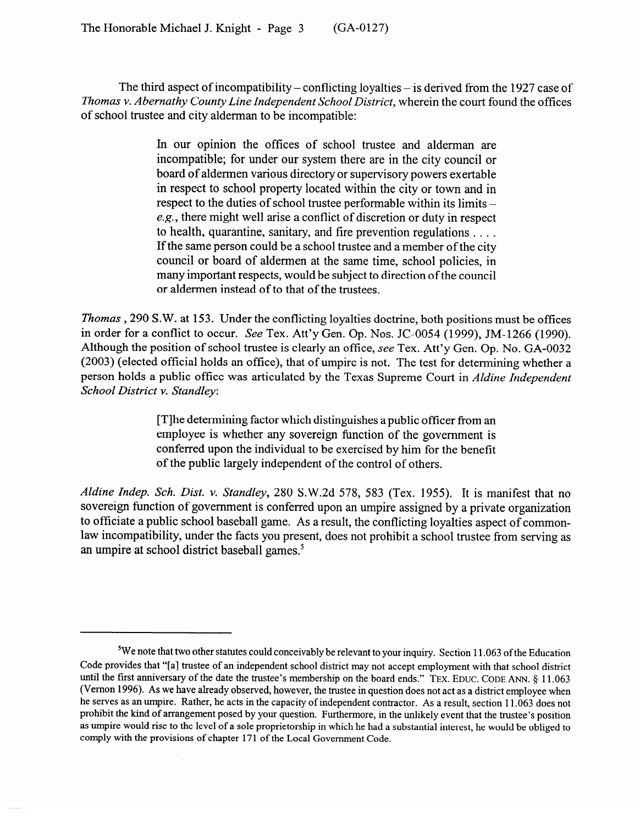The third aspect of incompatibility – conflicting loyalties – is derived from the 1927 case of *Thomas v. Abernathy County Line Independent School District,* wherein the court found the offices of school trustee and city alderman to be incompatible:

> In our opinion the offices of school trustee and alderman are incompatible; for under our system there are in the city council or board of aldermen various directory or supervisory powers exertable in respect to school property located within the city or town and in respect to the duties of school trustee performable within its limits e.g., there might well arise a conflict of discretion or duty in respect to health, quarantine, sanitary, and fire prevention regulations  $\dots$ .<br>If the same person could be a school trustee and a member of the city council or board of aldermen at the same time, school policies, in council or board of aldermen at the same time, school policies, in many important respects, would be subject to direction of the council or aldermen instead of to that of the trustees.

*Thomas* , 290 S.W. at 153. Under the conflicting loyalties doctrine, both positions must be offices in order for a conflict to occur. *See* Tex. Att'y Gen. Op. Nos. JC-0054 (1999), JM-1266 (1990). Although the position of school trustee is clearly an office, see Tex. Att'y Gen. Op. No. GA-0032  $(2003)$  (elected official holds an office), that of umpire is not. The test for determining whether a person holds a public office was articulated by the Texas Supreme Court in *Aldine Independent* **School District v. Standlev:** *School District v. Standley:* 

> [T]he determining factor which distinguishes a public officer from an employee is whether any sovereign function of the government is conferred upon the individual to be exercised by him for the benefit of the public largely independent of the control of others.  $\frac{1}{\sqrt{2}}$  of  $\frac{1}{\sqrt{2}}$  independent of  $\frac{1}{\sqrt{2}}$

*Aldine Indep. Sch. Dist. v. Standley, 280* S.W.2d 578, 583 (Tex. 1955). It is manifest that no to officiate a public school baseball game. As a result, the conflicting loyalties aspect of commonlaw incompatibility, under the facts you present, does not prohibit a school trustee from serving as an umpire at school district baseball games.<sup>5</sup> an umpire at school district baseball games?

<sup>&</sup>lt;sup>5</sup>We note that two other statutes could conceivably be relevant to your inquiry. Section 11.063 of the Education Code provides that "[a] trustee of an independent school district may not accept employment with that school district until the first anniversary of the date the trustee's membership on the board ends." TEX. EDUC. CODE ANN. § 11.063 (Vernon 1996). As we have already observed, however, the trustee in question does not act as a district employee when he serves as an umpire. Rather, he acts in the capacity of independent contractor. As a result, section 11.063 does not prohibit the kind of arrangement posed by your question. Furthermore, in the unlikely event that the trustee's position as umpire would rise to the level of a sole proprietorship in which he had a substantial interest, he would be obliged to comply with the provisions of chapter 171 of the Local Government Code.